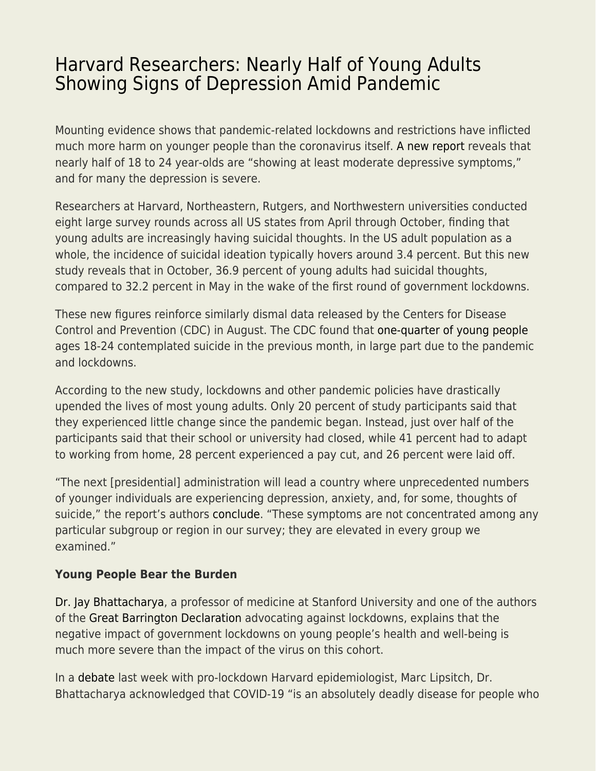## [Harvard Researchers: Nearly Half of Young Adults](https://everything-voluntary.com/harvard-researchers-nearly-half-of-young-adults-showing-signs-of-depression-amid-pandemic) [Showing Signs of Depression Amid Pandemic](https://everything-voluntary.com/harvard-researchers-nearly-half-of-young-adults-showing-signs-of-depression-amid-pandemic)

Mounting evidence shows that pandemic-related lockdowns and restrictions have inflicted much more harm on younger people than the coronavirus itself. [A new report](http://www.kateto.net/covid19/COVID19%20CONSORTIUM%20REPORT%2023%20MENTAL%20HEALTH%20NOV%202020.pdf) reveals that nearly half of 18 to 24 year-olds are "showing at least moderate depressive symptoms," and for many the depression is severe.

Researchers at Harvard, Northeastern, Rutgers, and Northwestern universities conducted eight large survey rounds across all US states from April through October, finding that young adults are increasingly having suicidal thoughts. In the US adult population as a whole, the incidence of suicidal ideation typically hovers around 3.4 percent. But this new study reveals that in October, 36.9 percent of young adults had suicidal thoughts, compared to 32.2 percent in May in the wake of the first round of government lockdowns.

These new figures reinforce similarly dismal data released by the Centers for Disease Control and Prevention (CDC) in August. The CDC found that [one-quarter of young people](https://fee.org/articles/cdc-a-quarter-of-young-adults-say-they-contemplated-suicide-this-summer-during-pandemic/) ages 18-24 contemplated suicide in the previous month, in large part due to the pandemic and lockdowns.

According to the new study, lockdowns and other pandemic policies have drastically upended the lives of most young adults. Only 20 percent of study participants said that they experienced little change since the pandemic began. Instead, just over half of the participants said that their school or university had closed, while 41 percent had to adapt to working from home, 28 percent experienced a pay cut, and 26 percent were laid off.

"The next [presidential] administration will lead a country where unprecedented numbers of younger individuals are experiencing depression, anxiety, and, for some, thoughts of suicide," the report's authors [conclude](http://www.kateto.net/covid19/COVID19%20CONSORTIUM%20REPORT%2023%20MENTAL%20HEALTH%20NOV%202020.pdf). "These symptoms are not concentrated among any particular subgroup or region in our survey; they are elevated in every group we examined."

## **Young People Bear the Burden**

[Dr. Jay Bhattacharya,](https://healthpolicy.fsi.stanford.edu/people/jay_bhattacharya) a professor of medicine at Stanford University and one of the authors of the [Great Barrington Declaration](https://gbdeclaration.org/) advocating against lockdowns, explains that the negative impact of government lockdowns on young people's health and well-being is much more severe than the impact of the virus on this cohort.

In a [debate](https://youtu.be/2tsUTAWBJ9M) last week with pro-lockdown Harvard epidemiologist, Marc Lipsitch, Dr. Bhattacharya acknowledged that COVID-19 "is an absolutely deadly disease for people who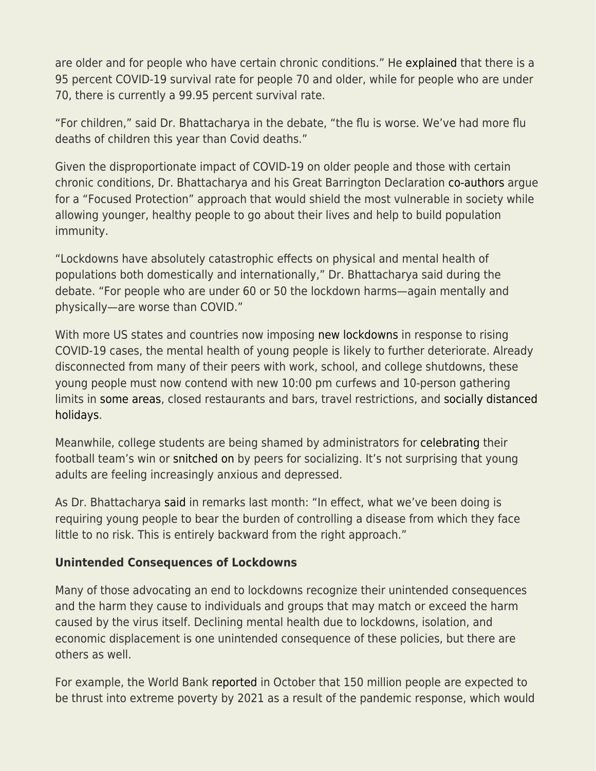are older and for people who have certain chronic conditions." He [explained](https://www.bmj.com/content/371/bmj.m4263) that there is a 95 percent COVID-19 survival rate for people 70 and older, while for people who are under 70, there is currently a 99.95 percent survival rate.

"For children," said Dr. Bhattacharya in the debate, "the flu is worse. We've had more flu deaths of children this year than Covid deaths."

Given the disproportionate impact of COVID-19 on older people and those with certain chronic conditions, Dr. Bhattacharya and his Great Barrington Declaration [co-authors](https://www.wsj.com/articles/epidemiologists-stray-from-the-covid-herd-11603477330) argue for a "Focused Protection" approach that would shield the most vulnerable in society while allowing younger, healthy people to go about their lives and help to build population immunity.

"Lockdowns have absolutely catastrophic effects on physical and mental health of populations both domestically and internationally," Dr. Bhattacharya said during the debate. "For people who are under 60 or 50 the lockdown harms—again mentally and physically—are worse than COVID."

With more US states and countries now imposing [new lockdowns](https://fee.org/articles/why-andrew-cuomo-s-latest-new-york-covid-restrictions-make-zero-sense/) in response to rising COVID-19 cases, the mental health of young people is likely to further deteriorate. Already disconnected from many of their peers with work, school, and college shutdowns, these young people must now contend with new 10:00 pm curfews and 10-person gathering limits in [some areas,](https://www.wsj.com/articles/as-covid-surges-to-new-levels-across-u-s-states-impose-flurry-of-measures-11605199815?mod=hp_lead_pos1) closed restaurants and bars, travel restrictions, and [socially distanced](https://www.seattletimes.com/explore/at-home/virtual-thanksgiving-how-to-mix-zoom-with-turkey-this-year/) [holidays.](https://www.seattletimes.com/explore/at-home/virtual-thanksgiving-how-to-mix-zoom-with-turkey-this-year/)

Meanwhile, college students are being shamed by administrators for [celebrating](https://www.nytimes.com/2020/11/09/sports/ncaafootball/notre-dame-fans-clemson.html) their football team's win or [snitched on](https://www.orlandosentinel.com/coronavirus/os-ne-pandemic-partying-some-students-party-others-turn-them-in-20201022-3f2py2id2jfp5ogeqczfvwax5q-story.html) by peers for socializing. It's not surprising that young adults are feeling increasingly anxious and depressed.

As Dr. Bhattacharya [said](https://www.aier.org/article/a-sensible-and-compassionate-anti-covid-strategy/) in remarks last month: "In effect, what we've been doing is requiring young people to bear the burden of controlling a disease from which they face little to no risk. This is entirely backward from the right approach."

## **Unintended Consequences of Lockdowns**

Many of those advocating an end to lockdowns recognize their unintended consequences and the harm they cause to individuals and groups that may match or exceed the harm caused by the virus itself. Declining mental health due to lockdowns, isolation, and economic displacement is one unintended consequence of these policies, but there are others as well.

For example, the World Bank [reported](https://www.worldbank.org/en/news/press-release/2020/10/07/covid-19-to-add-as-many-as-150-million-extreme-poor-by-2021) in October that 150 million people are expected to be thrust into extreme poverty by 2021 as a result of the pandemic response, which would